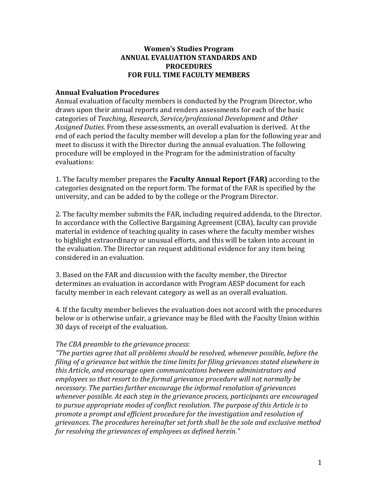## **Women's Studies Program ANNUAL EVALUATION STANDARDS AND PROCEDURES FOR FULL TIME FACULTY MEMBERS**

## **Annual Evaluation Procedures**

Annual evaluation of faculty members is conducted by the Program Director, who draws upon their annual reports and renders assessments for each of the basic categories of *Teaching*, *Research*, *Service/professional Development* and *Other Assigned Duties*. From these assessments, an overall evaluation is derived. At the end of each period the faculty member will develop a plan for the following year and meet to discuss it with the Director during the annual evaluation. The following procedure will be employed in the Program for the administration of faculty evaluations:

1. The faculty member prepares the **Faculty Annual Report (FAR)** according to the categories designated on the report form. The format of the FAR is specified by the university, and can be added to by the college or the Program Director.

2. The faculty member submits the FAR, including required addenda, to the Director. In accordance with the Collective Bargaining Agreement (CBA), faculty can provide material in evidence of teaching quality in cases where the faculty member wishes to highlight extraordinary or unusual efforts, and this will be taken into account in the evaluation. The Director can request additional evidence for any item being considered in an evaluation.

3. Based on the FAR and discussion with the faculty member, the Director determines an evaluation in accordance with Program AESP document for each faculty member in each relevant category as well as an overall evaluation.

4. If the faculty member believes the evaluation does not accord with the procedures below or is otherwise unfair, a grievance may be filed with the Faculty Union within 30 days of receipt of the evaluation.

## *The CBA preamble to the grievance process:*

*"The parties agree that all problems should be resolved, whenever possible, before the filing of a grievance but within the time limits for filing grievances stated elsewhere in this Article, and encourage open communications between administrators and employees so that resort to the formal grievance procedure will not normally be necessary. The parties further encourage the informal resolution of grievances whenever possible. At each step in the grievance process, participants are encouraged to pursue appropriate modes of conflict resolution. The purpose of this Article is to promote a prompt and efficient procedure for the investigation and resolution of grievances. The procedures hereinafter set forth shall be the sole and exclusive method for resolving the grievances of employees as defined herein."*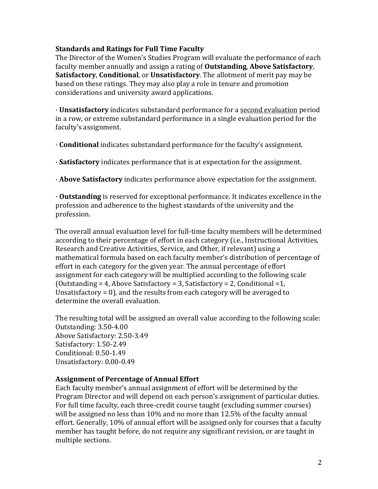## **Standards and Ratings for Full Time Faculty**

The Director of the Women's Studies Program will evaluate the performance of each faculty member annually and assign a rating of **Outstanding**, **Above Satisfactory**, **Satisfactory**, **Conditional**, or **Unsatisfactory**. The allotment of merit pay may be based on these ratings. They may also play a role in tenure and promotion considerations and university award applications.

· **Unsatisfactory** indicates substandard performance for a second evaluation period in a row, or extreme substandard performance in a single evaluation period for the faculty's assignment.

· **Conditional** indicates substandard performance for the faculty's assignment.

· **Satisfactory** indicates performance that is at expectation for the assignment.

· **Above Satisfactory** indicates performance above expectation for the assignment.

· **Outstanding** is reserved for exceptional performance. It indicates excellence in the profession and adherence to the highest standards of the university and the profession.

The overall annual evaluation level for full-time faculty members will be determined according to their percentage of effort in each category (i.e., Instructional Activities, Research and Creative Activities, Service, and Other, if relevant) using a mathematical formula based on each faculty member's distribution of percentage of effort in each category for the given year. The annual percentage of effort assignment for each category will be multiplied according to the following scale (Outstanding = 4, Above Satisfactory = 3, Satisfactory = 2, Conditional =1, Unsatisfactory = 0), and the results from each category will be averaged to determine the overall evaluation.

The resulting total will be assigned an overall value according to the following scale: Outstanding: 3.50-4.00 Above Satisfactory: 2.50-3.49 Satisfactory: 1.50-2.49 Conditional: 0.50-1.49 Unsatisfactory: 0.00-0.49

## **Assignment of Percentage of Annual Effort**

Each faculty member's annual assignment of effort will be determined by the Program Director and will depend on each person's assignment of particular duties. For full time faculty, each three-credit course taught (excluding summer courses) will be assigned no less than 10% and no more than 12.5% of the faculty annual effort. Generally, 10% of annual effort will be assigned only for courses that a faculty member has taught before, do not require any significant revision, or are taught in multiple sections.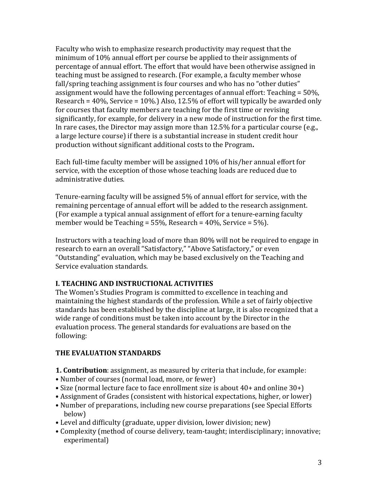Faculty who wish to emphasize research productivity may request that the minimum of 10% annual effort per course be applied to their assignments of percentage of annual effort. The effort that would have been otherwise assigned in teaching must be assigned to research. (For example, a faculty member whose fall/spring teaching assignment is four courses and who has no "other duties" assignment would have the following percentages of annual effort: Teaching = 50%, Research = 40%, Service = 10%.) Also, 12.5% of effort will typically be awarded only for courses that faculty members are teaching for the first time or revising significantly, for example, for delivery in a new mode of instruction for the first time. In rare cases, the Director may assign more than 12.5% for a particular course (e.g., a large lecture course) if there is a substantial increase in student credit hour production without significant additional costs to the Program**.**

Each full-time faculty member will be assigned 10% of his/her annual effort for service, with the exception of those whose teaching loads are reduced due to administrative duties.

Tenure-earning faculty will be assigned 5% of annual effort for service, with the remaining percentage of annual effort will be added to the research assignment. (For example a typical annual assignment of effort for a tenure-earning faculty member would be Teaching = 55%, Research = 40%, Service = 5%).

Instructors with a teaching load of more than 80% will not be required to engage in research to earn an overall "Satisfactory," "Above Satisfactory," or even "Outstanding" evaluation, which may be based exclusively on the Teaching and Service evaluation standards.

# **I. TEACHING AND INSTRUCTIONAL ACTIVITIES**

The Women's Studies Program is committed to excellence in teaching and maintaining the highest standards of the profession. While a set of fairly objective standards has been established by the discipline at large, it is also recognized that a wide range of conditions must be taken into account by the Director in the evaluation process. The general standards for evaluations are based on the following:

# **THE EVALUATION STANDARDS**

- **1. Contribution**: assignment, as measured by criteria that include, for example:
- Number of courses (normal load, more, or fewer)
- Size (normal lecture face to face enrollment size is about 40+ and online 30+)
- Assignment of Grades (consistent with historical expectations, higher, or lower)
- Number of preparations, including new course preparations (see Special Efforts below)
- Level and difficulty (graduate, upper division, lower division; new)
- Complexity (method of course delivery, team-taught; interdisciplinary; innovative; experimental)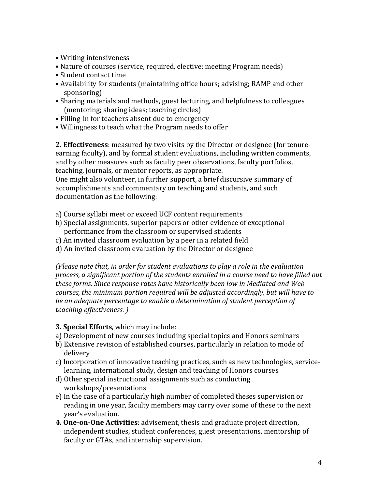- Writing intensiveness
- Nature of courses (service, required, elective; meeting Program needs)
- Student contact time
- Availability for students (maintaining office hours; advising; RAMP and other sponsoring)
- Sharing materials and methods, guest lecturing, and helpfulness to colleagues (mentoring; sharing ideas; teaching circles)
- Filling-in for teachers absent due to emergency
- Willingness to teach what the Program needs to offer

**2. Effectiveness**: measured by two visits by the Director or designee (for tenureearning faculty), and by formal student evaluations, including written comments, and by other measures such as faculty peer observations, faculty portfolios, teaching, journals, or mentor reports, as appropriate.

One might also volunteer, in further support, a brief discursive summary of accomplishments and commentary on teaching and students, and such documentation as the following:

- a) Course syllabi meet or exceed UCF content requirements
- b) Special assignments, superior papers or other evidence of exceptional performance from the classroom or supervised students
- c) An invited classroom evaluation by a peer in a related field
- d) An invited classroom evaluation by the Director or designee

*(Please note that, in order for student evaluations to play a role in the evaluation process, a significant portion of the students enrolled in a course need to have filled out these forms. Since response rates have historically been low in Mediated and Web courses, the minimum portion required will be adjusted accordingly, but will have to be an adequate percentage to enable a determination of student perception of teaching effectiveness. )*

# **3. Special Efforts**, which may include:

- a) Development of new courses including special topics and Honors seminars
- b) Extensive revision of established courses, particularly in relation to mode of delivery
- c) Incorporation of innovative teaching practices, such as new technologies, servicelearning, international study, design and teaching of Honors courses
- d) Other special instructional assignments such as conducting workshops/presentations
- e) In the case of a particularly high number of completed theses supervision or reading in one year, faculty members may carry over some of these to the next year's evaluation.
- **4. One-on-One Activities**: advisement, thesis and graduate project direction, independent studies, student conferences, guest presentations, mentorship of faculty or GTAs, and internship supervision.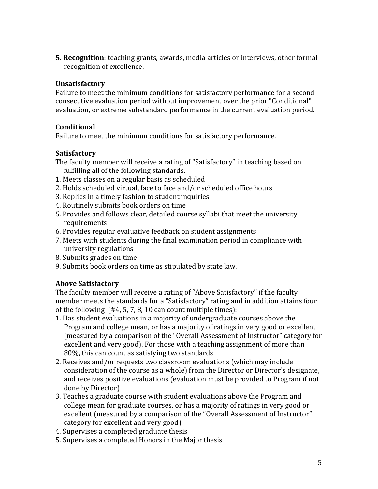**5. Recognition**: teaching grants, awards, media articles or interviews, other formal recognition of excellence.

# **Unsatisfactory**

Failure to meet the minimum conditions for satisfactory performance for a second consecutive evaluation period without improvement over the prior "Conditional" evaluation, or extreme substandard performance in the current evaluation period.

## **Conditional**

Failure to meet the minimum conditions for satisfactory performance.

## **Satisfactory**

- The faculty member will receive a rating of "Satisfactory" in teaching based on fulfilling all of the following standards:
- 1. Meets classes on a regular basis as scheduled
- 2. Holds scheduled virtual, face to face and/or scheduled office hours
- 3. Replies in a timely fashion to student inquiries
- 4. Routinely submits book orders on time
- 5. Provides and follows clear, detailed course syllabi that meet the university requirements
- 6. Provides regular evaluative feedback on student assignments
- 7. Meets with students during the final examination period in compliance with university regulations
- 8. Submits grades on time
- 9. Submits book orders on time as stipulated by state law.

# **Above Satisfactory**

The faculty member will receive a rating of "Above Satisfactory" if the faculty member meets the standards for a "Satisfactory" rating and in addition attains four of the following (#4, 5, 7, 8, 10 can count multiple times):

- 1. Has student evaluations in a majority of undergraduate courses above the Program and college mean, or has a majority of ratings in very good or excellent (measured by a comparison of the "Overall Assessment of Instructor" category for excellent and very good). For those with a teaching assignment of more than 80%, this can count as satisfying two standards
- 2. Receives and/or requests two classroom evaluations (which may include consideration of the course as a whole) from the Director or Director's designate, and receives positive evaluations (evaluation must be provided to Program if not done by Director)
- 3. Teaches a graduate course with student evaluations above the Program and college mean for graduate courses, or has a majority of ratings in very good or excellent (measured by a comparison of the "Overall Assessment of Instructor" category for excellent and very good).
- 4. Supervises a completed graduate thesis
- 5. Supervises a completed Honors in the Major thesis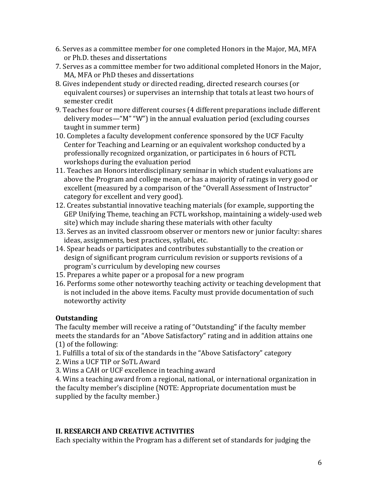- 6. Serves as a committee member for one completed Honors in the Major, MA, MFA or Ph.D. theses and dissertations
- 7. Serves as a committee member for two additional completed Honors in the Major, MA, MFA or PhD theses and dissertations
- 8. Gives independent study or directed reading, directed research courses (or equivalent courses) or supervises an internship that totals at least two hours of semester credit
- 9. Teaches four or more different courses (4 different preparations include different delivery modes—"M" "W") in the annual evaluation period (excluding courses taught in summer term)
- 10. Completes a faculty development conference sponsored by the UCF Faculty Center for Teaching and Learning or an equivalent workshop conducted by a professionally recognized organization, or participates in 6 hours of FCTL workshops during the evaluation period
- 11. Teaches an Honors interdisciplinary seminar in which student evaluations are above the Program and college mean, or has a majority of ratings in very good or excellent (measured by a comparison of the "Overall Assessment of Instructor" category for excellent and very good).
- 12. Creates substantial innovative teaching materials (for example, supporting the GEP Unifying Theme, teaching an FCTL workshop, maintaining a widely-used web site) which may include sharing these materials with other faculty
- 13. Serves as an invited classroom observer or mentors new or junior faculty: shares ideas, assignments, best practices, syllabi, etc.
- 14. Spear heads or participates and contributes substantially to the creation or design of significant program curriculum revision or supports revisions of a program's curriculum by developing new courses
- 15. Prepares a white paper or a proposal for a new program
- 16. Performs some other noteworthy teaching activity or teaching development that is not included in the above items. Faculty must provide documentation of such noteworthy activity

# **Outstanding**

The faculty member will receive a rating of "Outstanding" if the faculty member meets the standards for an "Above Satisfactory" rating and in addition attains one (1) of the following:

- 1. Fulfills a total of six of the standards in the "Above Satisfactory" category
- 2. Wins a UCF TIP or SoTL Award
- 3. Wins a CAH or UCF excellence in teaching award

4. Wins a teaching award from a regional, national, or international organization in the faculty member's discipline (NOTE: Appropriate documentation must be supplied by the faculty member.)

# **II. RESEARCH AND CREATIVE ACTIVITIES**

Each specialty within the Program has a different set of standards for judging the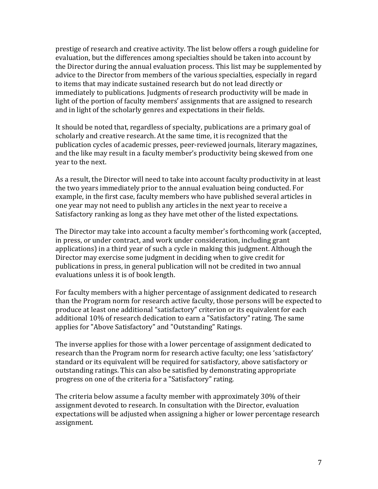prestige of research and creative activity. The list below offers a rough guideline for evaluation, but the differences among specialties should be taken into account by the Director during the annual evaluation process. This list may be supplemented by advice to the Director from members of the various specialties, especially in regard to items that may indicate sustained research but do not lead directly or immediately to publications. Judgments of research productivity will be made in light of the portion of faculty members' assignments that are assigned to research and in light of the scholarly genres and expectations in their fields.

It should be noted that, regardless of specialty, publications are a primary goal of scholarly and creative research. At the same time, it is recognized that the publication cycles of academic presses, peer-reviewed journals, literary magazines, and the like may result in a faculty member's productivity being skewed from one year to the next.

As a result, the Director will need to take into account faculty productivity in at least the two years immediately prior to the annual evaluation being conducted. For example, in the first case, faculty members who have published several articles in one year may not need to publish any articles in the next year to receive a Satisfactory ranking as long as they have met other of the listed expectations.

The Director may take into account a faculty member's forthcoming work (accepted, in press, or under contract, and work under consideration, including grant applications) in a third year of such a cycle in making this judgment. Although the Director may exercise some judgment in deciding when to give credit for publications in press, in general publication will not be credited in two annual evaluations unless it is of book length.

For faculty members with a higher percentage of assignment dedicated to research than the Program norm for research active faculty, those persons will be expected to produce at least one additional "satisfactory" criterion or its equivalent for each additional 10% of research dedication to earn a "Satisfactory" rating. The same applies for "Above Satisfactory" and "Outstanding" Ratings.

The inverse applies for those with a lower percentage of assignment dedicated to research than the Program norm for research active faculty; one less 'satisfactory' standard or its equivalent will be required for satisfactory, above satisfactory or outstanding ratings. This can also be satisfied by demonstrating appropriate progress on one of the criteria for a "Satisfactory" rating.

The criteria below assume a faculty member with approximately 30% of their assignment devoted to research. In consultation with the Director, evaluation expectations will be adjusted when assigning a higher or lower percentage research assignment.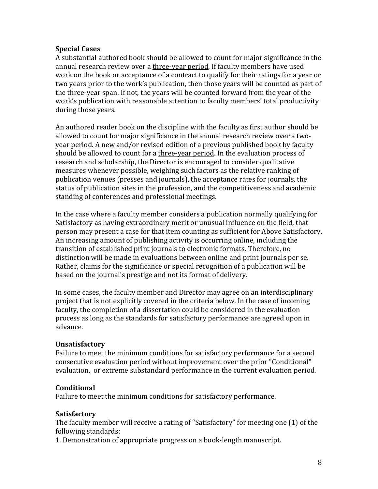## **Special Cases**

A substantial authored book should be allowed to count for major significance in the annual research review over a three-year period. If faculty members have used work on the book or acceptance of a contract to qualify for their ratings for a year or two years prior to the work's publication, then those years will be counted as part of the three-year span. If not, the years will be counted forward from the year of the work's publication with reasonable attention to faculty members' total productivity during those years.

An authored reader book on the discipline with the faculty as first author should be allowed to count for major significance in the annual research review over a twoyear period. A new and/or revised edition of a previous published book by faculty should be allowed to count for a three-year period. In the evaluation process of research and scholarship, the Director is encouraged to consider qualitative measures whenever possible, weighing such factors as the relative ranking of publication venues (presses and journals), the acceptance rates for journals, the status of publication sites in the profession, and the competitiveness and academic standing of conferences and professional meetings.

In the case where a faculty member considers a publication normally qualifying for Satisfactory as having extraordinary merit or unusual influence on the field, that person may present a case for that item counting as sufficient for Above Satisfactory. An increasing amount of publishing activity is occurring online, including the transition of established print journals to electronic formats. Therefore, no distinction will be made in evaluations between online and print journals per se. Rather, claims for the significance or special recognition of a publication will be based on the journal's prestige and not its format of delivery.

In some cases, the faculty member and Director may agree on an interdisciplinary project that is not explicitly covered in the criteria below. In the case of incoming faculty, the completion of a dissertation could be considered in the evaluation process as long as the standards for satisfactory performance are agreed upon in advance.

# **Unsatisfactory**

Failure to meet the minimum conditions for satisfactory performance for a second consecutive evaluation period without improvement over the prior "Conditional" evaluation, or extreme substandard performance in the current evaluation period.

## **Conditional**

Failure to meet the minimum conditions for satisfactory performance.

## **Satisfactory**

The faculty member will receive a rating of "Satisfactory" for meeting one (1) of the following standards:

1. Demonstration of appropriate progress on a book-length manuscript.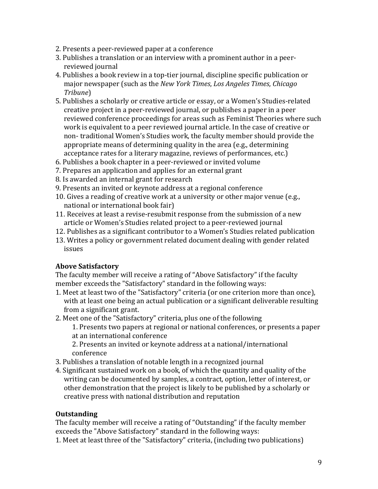- 2. Presents a peer-reviewed paper at a conference
- 3. Publishes a translation or an interview with a prominent author in a peerreviewed journal
- 4. Publishes a book review in a top-tier journal, discipline specific publication or major newspaper (such as the *New York Times*, *Los Angeles Times*, *Chicago Tribune*)
- 5. Publishes a scholarly or creative article or essay, or a Women's Studies-related creative project in a peer-reviewed journal, or publishes a paper in a peer reviewed conference proceedings for areas such as Feminist Theories where such work is equivalent to a peer reviewed journal article. In the case of creative or non- traditional Women's Studies work, the faculty member should provide the appropriate means of determining quality in the area (e.g., determining acceptance rates for a literary magazine, reviews of performances, etc.)
- 6. Publishes a book chapter in a peer-reviewed or invited volume
- 7. Prepares an application and applies for an external grant
- 8. Is awarded an internal grant for research
- 9. Presents an invited or keynote address at a regional conference
- 10. Gives a reading of creative work at a university or other major venue (e.g., national or international book fair)
- 11. Receives at least a revise-resubmit response from the submission of a new article or Women's Studies related project to a peer-reviewed journal
- 12. Publishes as a significant contributor to a Women's Studies related publication
- 13. Writes a policy or government related document dealing with gender related issues

# **Above Satisfactory**

The faculty member will receive a rating of "Above Satisfactory" if the faculty member exceeds the "Satisfactory" standard in the following ways:

- 1. Meet at least two of the "Satisfactory" criteria (or one criterion more than once), with at least one being an actual publication or a significant deliverable resulting from a significant grant.
- 2. Meet one of the "Satisfactory" criteria, plus one of the following
	- 1. Presents two papers at regional or national conferences, or presents a paper at an international conference
	- 2. Presents an invited or keynote address at a national/international conference
- 3. Publishes a translation of notable length in a recognized journal
- 4. Significant sustained work on a book, of which the quantity and quality of the writing can be documented by samples, a contract, option, letter of interest, or other demonstration that the project is likely to be published by a scholarly or creative press with national distribution and reputation

# **Outstanding**

The faculty member will receive a rating of "Outstanding" if the faculty member exceeds the "Above Satisfactory" standard in the following ways:

1. Meet at least three of the "Satisfactory" criteria, (including two publications)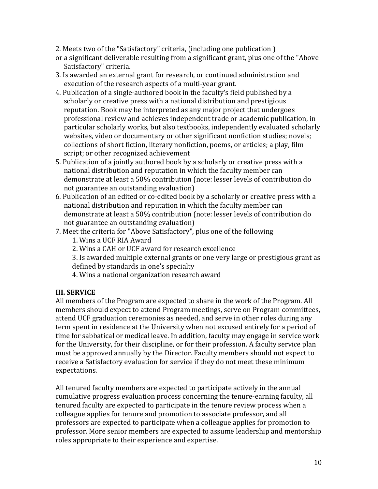- 2. Meets two of the "Satisfactory" criteria, (including one publication )
- or a significant deliverable resulting from a significant grant, plus one of the "Above Satisfactory" criteria.
- 3. Is awarded an external grant for research, or continued administration and execution of the research aspects of a multi-year grant.
- 4. Publication of a single-authored book in the faculty's field published by a scholarly or creative press with a national distribution and prestigious reputation. Book may be interpreted as any major project that undergoes professional review and achieves independent trade or academic publication, in particular scholarly works, but also textbooks, independently evaluated scholarly websites, video or documentary or other significant nonfiction studies; novels; collections of short fiction, literary nonfiction, poems, or articles; a play, film script; or other recognized achievement
- 5. Publication of a jointly authored book by a scholarly or creative press with a national distribution and reputation in which the faculty member can demonstrate at least a 50% contribution (note: lesser levels of contribution do not guarantee an outstanding evaluation)
- 6. Publication of an edited or co-edited book by a scholarly or creative press with a national distribution and reputation in which the faculty member can demonstrate at least a 50% contribution (note: lesser levels of contribution do not guarantee an outstanding evaluation)
- 7. Meet the criteria for "Above Satisfactory", plus one of the following
	- 1. Wins a UCF RIA Award
	- 2. Wins a CAH or UCF award for research excellence
	- 3. Is awarded multiple external grants or one very large or prestigious grant as defined by standards in one's specialty
	- 4. Wins a national organization research award

## **III. SERVICE**

All members of the Program are expected to share in the work of the Program. All members should expect to attend Program meetings, serve on Program committees, attend UCF graduation ceremonies as needed, and serve in other roles during any term spent in residence at the University when not excused entirely for a period of time for sabbatical or medical leave. In addition, faculty may engage in service work for the University, for their discipline, or for their profession. A faculty service plan must be approved annually by the Director. Faculty members should not expect to receive a Satisfactory evaluation for service if they do not meet these minimum expectations.

All tenured faculty members are expected to participate actively in the annual cumulative progress evaluation process concerning the tenure-earning faculty, all tenured faculty are expected to participate in the tenure review process when a colleague applies for tenure and promotion to associate professor, and all professors are expected to participate when a colleague applies for promotion to professor. More senior members are expected to assume leadership and mentorship roles appropriate to their experience and expertise.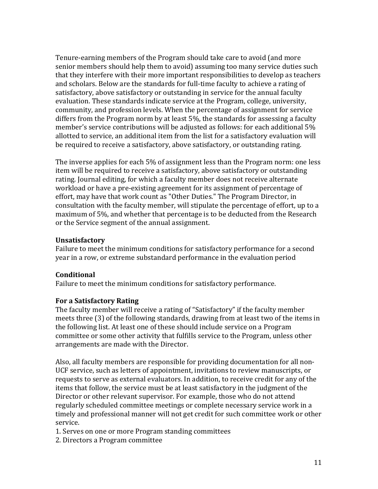Tenure-earning members of the Program should take care to avoid (and more senior members should help them to avoid) assuming too many service duties such that they interfere with their more important responsibilities to develop as teachers and scholars. Below are the standards for full-time faculty to achieve a rating of satisfactory, above satisfactory or outstanding in service for the annual faculty evaluation. These standards indicate service at the Program, college, university, community, and profession levels. When the percentage of assignment for service differs from the Program norm by at least 5%, the standards for assessing a faculty member's service contributions will be adjusted as follows: for each additional 5% allotted to service, an additional item from the list for a satisfactory evaluation will be required to receive a satisfactory, above satisfactory, or outstanding rating.

The inverse applies for each 5% of assignment less than the Program norm: one less item will be required to receive a satisfactory, above satisfactory or outstanding rating. Journal editing, for which a faculty member does not receive alternate workload or have a pre-existing agreement for its assignment of percentage of effort, may have that work count as "Other Duties." The Program Director, in consultation with the faculty member, will stipulate the percentage of effort, up to a maximum of 5%, and whether that percentage is to be deducted from the Research or the Service segment of the annual assignment.

## **Unsatisfactory**

Failure to meet the minimum conditions for satisfactory performance for a second year in a row, or extreme substandard performance in the evaluation period

## **Conditional**

Failure to meet the minimum conditions for satisfactory performance.

## **For a Satisfactory Rating**

The faculty member will receive a rating of "Satisfactory" if the faculty member meets three (3) of the following standards, drawing from at least two of the items in the following list. At least one of these should include service on a Program committee or some other activity that fulfills service to the Program, unless other arrangements are made with the Director.

Also, all faculty members are responsible for providing documentation for all non-UCF service, such as letters of appointment, invitations to review manuscripts, or requests to serve as external evaluators. In addition, to receive credit for any of the items that follow, the service must be at least satisfactory in the judgment of the Director or other relevant supervisor. For example, those who do not attend regularly scheduled committee meetings or complete necessary service work in a timely and professional manner will not get credit for such committee work or other service.

1. Serves on one or more Program standing committees

2. Directors a Program committee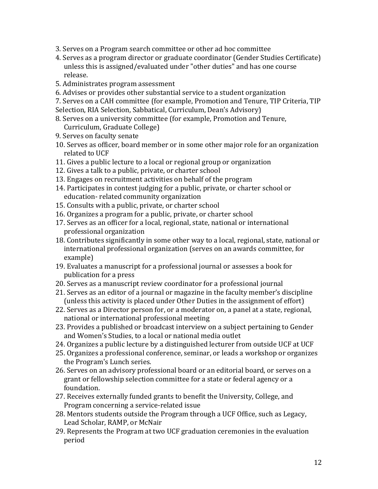- 3. Serves on a Program search committee or other ad hoc committee
- 4. Serves as a program director or graduate coordinator (Gender Studies Certificate) unless this is assigned/evaluated under "other duties" and has one course release.
- 5. Administrates program assessment
- 6. Advises or provides other substantial service to a student organization
- 7. Serves on a CAH committee (for example, Promotion and Tenure, TIP Criteria, TIP
- Selection, RIA Selection, Sabbatical, Curriculum, Dean's Advisory)
- 8. Serves on a university committee (for example, Promotion and Tenure, Curriculum, Graduate College)
- 9. Serves on faculty senate
- 10. Serves as officer, board member or in some other major role for an organization related to UCF
- 11. Gives a public lecture to a local or regional group or organization
- 12. Gives a talk to a public, private, or charter school
- 13. Engages on recruitment activities on behalf of the program
- 14. Participates in contest judging for a public, private, or charter school or education- related community organization
- 15. Consults with a public, private, or charter school
- 16. Organizes a program for a public, private, or charter school
- 17. Serves as an officer for a local, regional, state, national or international professional organization
- 18. Contributes significantly in some other way to a local, regional, state, national or international professional organization (serves on an awards committee, for example)
- 19. Evaluates a manuscript for a professional journal or assesses a book for publication for a press
- 20. Serves as a manuscript review coordinator for a professional journal
- 21. Serves as an editor of a journal or magazine in the faculty member's discipline (unless this activity is placed under Other Duties in the assignment of effort)
- 22. Serves as a Director person for, or a moderator on, a panel at a state, regional, national or international professional meeting
- 23. Provides a published or broadcast interview on a subject pertaining to Gender and Women's Studies, to a local or national media outlet
- 24. Organizes a public lecture by a distinguished lecturer from outside UCF at UCF
- 25. Organizes a professional conference, seminar, or leads a workshop or organizes the Program's Lunch series.
- 26. Serves on an advisory professional board or an editorial board, or serves on a grant or fellowship selection committee for a state or federal agency or a foundation.
- 27. Receives externally funded grants to benefit the University, College, and Program concerning a service-related issue
- 28. Mentors students outside the Program through a UCF Office, such as Legacy, Lead Scholar, RAMP, or McNair
- 29. Represents the Program at two UCF graduation ceremonies in the evaluation period